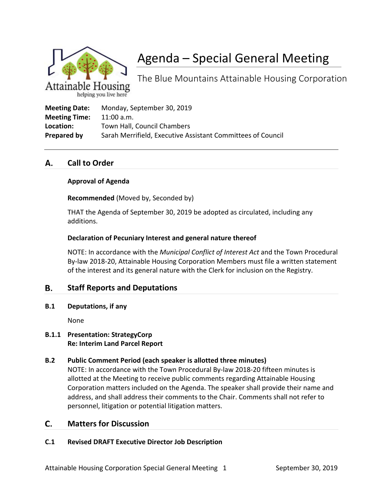

# Agenda – Special General Meeting

The Blue Mountains Attainable Housing Corporation

helping you live here

| <b>Meeting Date:</b> | Monday, September 30, 2019                                  |
|----------------------|-------------------------------------------------------------|
| <b>Meeting Time:</b> | $11:00$ a.m.                                                |
| Location:            | Town Hall, Council Chambers                                 |
| Prepared by          | Sarah Merrifield, Executive Assistant Committees of Council |

#### **Call to Order** А.

#### **Approval of Agenda**

**Recommended** (Moved by, Seconded by)

THAT the Agenda of September 30, 2019 be adopted as circulated, including any additions.

#### **Declaration of Pecuniary Interest and general nature thereof**

NOTE: In accordance with the *Municipal Conflict of Interest Act* and the Town Procedural By-law 2018-20, Attainable Housing Corporation Members must file a written statement of the interest and its general nature with the Clerk for inclusion on the Registry.

#### В. **Staff Reports and Deputations**

**B.1 Deputations, if any**

None

#### **B.1.1 Presentation: StrategyCorp Re: Interim Land Parcel Report**

### **B.2 Public Comment Period (each speaker is allotted three minutes)**

NOTE: In accordance with the Town Procedural By-law 2018-20 fifteen minutes is allotted at the Meeting to receive public comments regarding Attainable Housing Corporation matters included on the Agenda. The speaker shall provide their name and address, and shall address their comments to the Chair. Comments shall not refer to personnel, litigation or potential litigation matters.

#### **Matters for Discussion** C.

### **C.1 Revised DRAFT Executive Director Job Description**